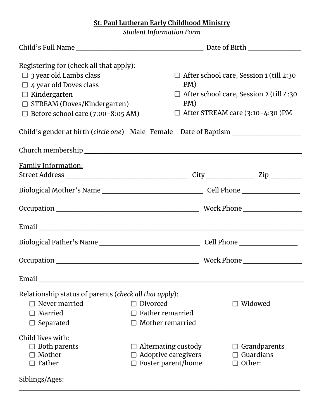## **St. Paul Lutheran Early Childhood Ministry**

*Student Information Form*

| Registering for (check all that apply):                                          |                            |                                                |
|----------------------------------------------------------------------------------|----------------------------|------------------------------------------------|
| $\Box$ 3 year old Lambs class                                                    |                            | $\Box$ After school care, Session 1 (till 2:30 |
| $\Box$ 4 year old Doves class                                                    | PM)                        |                                                |
| $\Box$ Kindergarten                                                              |                            | $\Box$ After school care, Session 2 (till 4:30 |
| $\Box$ STREAM (Doves/Kindergarten)                                               | PM)                        |                                                |
| $\Box$ Before school care (7:00-8:05 AM)                                         |                            | $\Box$ After STREAM care (3:10-4:30 )PM        |
| Child's gender at birth (circle one) Male Female Date of Baptism _______________ |                            |                                                |
|                                                                                  |                            |                                                |
| <u>Family Information:</u>                                                       |                            |                                                |
|                                                                                  |                            |                                                |
|                                                                                  |                            |                                                |
|                                                                                  |                            |                                                |
|                                                                                  |                            |                                                |
|                                                                                  |                            |                                                |
|                                                                                  |                            | Work Phone __________________                  |
| Email                                                                            |                            |                                                |
| Relationship status of parents (check all that apply):                           |                            |                                                |
| $\Box$ Never married                                                             | $\Box$ Divorced            | $\square$ Widowed                              |
| Married                                                                          | Father remarried           |                                                |
| $\Box$ Separated                                                                 | Mother remarried           |                                                |
| Child lives with:                                                                |                            |                                                |
| $\Box$ Both parents                                                              | $\Box$ Alternating custody | Grandparents                                   |
| $\Box$ Mother                                                                    | $\Box$ Adoptive caregivers | $\Box$ Guardians                               |
| Father                                                                           | $\Box$ Foster parent/home  | Other:                                         |
| Siblings/Ages:                                                                   |                            |                                                |

 $\mathcal{L}_\text{max}$  , and the contract of the contract of the contract of the contract of the contract of the contract of the contract of the contract of the contract of the contract of the contract of the contract of the contr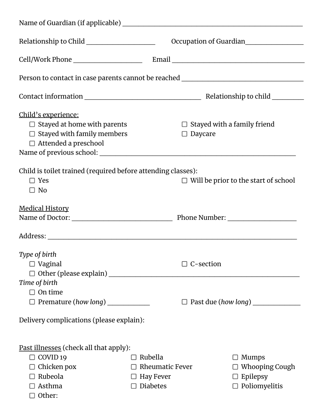| Relationship to Child ______________________                                                                                                                                                                                   |                                                                          | Occupation of Guardian                                                           |  |  |
|--------------------------------------------------------------------------------------------------------------------------------------------------------------------------------------------------------------------------------|--------------------------------------------------------------------------|----------------------------------------------------------------------------------|--|--|
|                                                                                                                                                                                                                                |                                                                          |                                                                                  |  |  |
| Person to contact in case parents cannot be reached ____________________________                                                                                                                                               |                                                                          |                                                                                  |  |  |
|                                                                                                                                                                                                                                |                                                                          |                                                                                  |  |  |
| <u>Child's experience:</u><br>$\Box$ Stayed at home with parents<br>$\Box$ Stayed with family members<br>$\Box$ Attended a preschool                                                                                           |                                                                          | $\Box$ Stayed with a family friend<br>$\Box$ Daycare                             |  |  |
| Child is toilet trained (required before attending classes):<br>$\Box$ Yes<br>$\Box$ No                                                                                                                                        |                                                                          | $\Box$ Will be prior to the start of school                                      |  |  |
| <b>Medical History</b>                                                                                                                                                                                                         |                                                                          |                                                                                  |  |  |
| Address: Andress: Address: Address: Address: Address: Address: Address: Address: Address: Address: Address: Address: Address: Address: Address: Address: Address: Address: Address: Address: Address: Address: Address: Addres |                                                                          |                                                                                  |  |  |
| Type of birth<br>$\Box$ Vaginal                                                                                                                                                                                                |                                                                          | $\Box$ C-section                                                                 |  |  |
| Time of birth<br>$\Box$ On time<br>$\Box$ Premature (how long) _______________                                                                                                                                                 |                                                                          |                                                                                  |  |  |
| Delivery complications (please explain):                                                                                                                                                                                       |                                                                          |                                                                                  |  |  |
| <u>Past illnesses</u> (check all that apply):<br>$\Box$ COVID 19<br>$\Box$ Chicken pox<br>$\Box$ Rubeola<br>$\Box$ Asthma<br>$\Box$ Other:                                                                                     | Rubella<br>$\Box$ Rheumatic Fever<br>$\Box$ Hay Fever<br>$\Box$ Diabetes | $\Box$ Mumps<br>$\Box$ Whooping Cough<br>$\Box$ Epilepsy<br>$\Box$ Poliomyelitis |  |  |